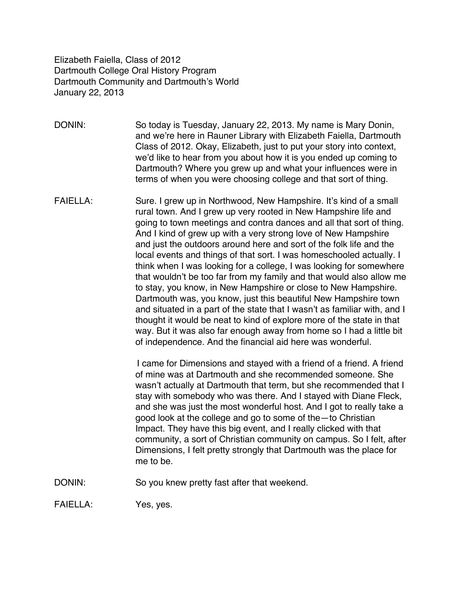Elizabeth Faiella, Class of 2012 Dartmouth College Oral History Program Dartmouth Community and Dartmouth's World January 22, 2013

DONIN: So today is Tuesday, January 22, 2013. My name is Mary Donin, and we're here in Rauner Library with Elizabeth Faiella, Dartmouth Class of 2012. Okay, Elizabeth, just to put your story into context, we'd like to hear from you about how it is you ended up coming to Dartmouth? Where you grew up and what your influences were in terms of when you were choosing college and that sort of thing.

FAIELLA: Sure. I grew up in Northwood, New Hampshire. It's kind of a small rural town. And I grew up very rooted in New Hampshire life and going to town meetings and contra dances and all that sort of thing. And I kind of grew up with a very strong love of New Hampshire and just the outdoors around here and sort of the folk life and the local events and things of that sort. I was homeschooled actually. I think when I was looking for a college, I was looking for somewhere that wouldn't be too far from my family and that would also allow me to stay, you know, in New Hampshire or close to New Hampshire. Dartmouth was, you know, just this beautiful New Hampshire town and situated in a part of the state that I wasn't as familiar with, and I thought it would be neat to kind of explore more of the state in that way. But it was also far enough away from home so I had a little bit of independence. And the financial aid here was wonderful.

> I came for Dimensions and stayed with a friend of a friend. A friend of mine was at Dartmouth and she recommended someone. She wasn't actually at Dartmouth that term, but she recommended that I stay with somebody who was there. And I stayed with Diane Fleck, and she was just the most wonderful host. And I got to really take a good look at the college and go to some of the—to Christian Impact. They have this big event, and I really clicked with that community, a sort of Christian community on campus. So I felt, after Dimensions, I felt pretty strongly that Dartmouth was the place for me to be.

DONIN: So you knew pretty fast after that weekend.

FAIELLA: Yes, yes.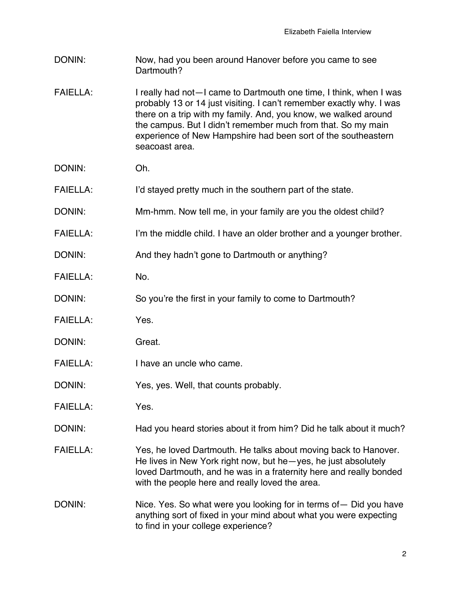- DONIN: Now, had you been around Hanover before you came to see Dartmouth?
- FAIELLA: I really had not-I came to Dartmouth one time, I think, when I was probably 13 or 14 just visiting. I can't remember exactly why. I was there on a trip with my family. And, you know, we walked around the campus. But I didn't remember much from that. So my main experience of New Hampshire had been sort of the southeastern seacoast area.
- DONIN: Oh.
- FAIELLA: I'd stayed pretty much in the southern part of the state.
- DONIN: Mm-hmm. Now tell me, in your family are you the oldest child?
- FAIELLA: I'm the middle child. I have an older brother and a younger brother.

DONIN: And they hadn't gone to Dartmouth or anything?

- FAIELLA: No.
- DONIN: So you're the first in your family to come to Dartmouth?
- FAIELLA: Yes.
- DONIN: Great.
- FAIELLA: I have an uncle who came.
- DONIN: Yes, yes. Well, that counts probably.
- FAIELLA: Yes.
- DONIN: Had you heard stories about it from him? Did he talk about it much?
- FAIELLA: Yes, he loved Dartmouth. He talks about moving back to Hanover. He lives in New York right now, but he—yes, he just absolutely loved Dartmouth, and he was in a fraternity here and really bonded with the people here and really loved the area.
- DONIN: Nice. Yes. So what were you looking for in terms of Did you have anything sort of fixed in your mind about what you were expecting to find in your college experience?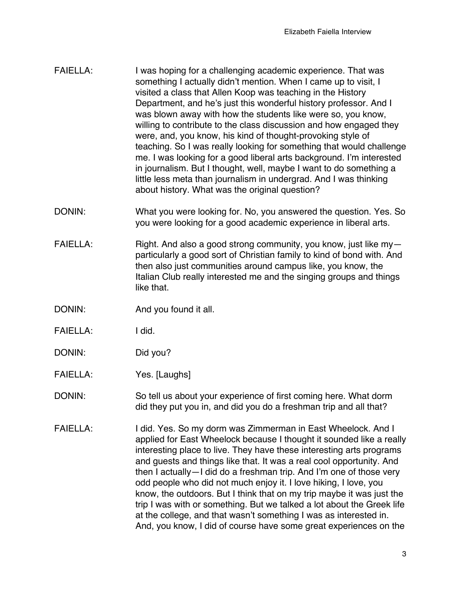| <b>FAIELLA:</b> | I was hoping for a challenging academic experience. That was<br>something I actually didn't mention. When I came up to visit, I<br>visited a class that Allen Koop was teaching in the History<br>Department, and he's just this wonderful history professor. And I<br>was blown away with how the students like were so, you know,<br>willing to contribute to the class discussion and how engaged they |
|-----------------|-----------------------------------------------------------------------------------------------------------------------------------------------------------------------------------------------------------------------------------------------------------------------------------------------------------------------------------------------------------------------------------------------------------|
|                 | were, and, you know, his kind of thought-provoking style of<br>teaching. So I was really looking for something that would challenge                                                                                                                                                                                                                                                                       |
|                 | me. I was looking for a good liberal arts background. I'm interested<br>in journalism. But I thought, well, maybe I want to do something a<br>little less meta than journalism in undergrad. And I was thinking                                                                                                                                                                                           |
|                 | about history. What was the original question?                                                                                                                                                                                                                                                                                                                                                            |

- DONIN: What you were looking for. No, you answered the question. Yes. So you were looking for a good academic experience in liberal arts.
- FAIELLA: Right. And also a good strong community, you know, just like myparticularly a good sort of Christian family to kind of bond with. And then also just communities around campus like, you know, the Italian Club really interested me and the singing groups and things like that.
- DONIN: And you found it all.
- FAIELLA: I did.
- DONIN: Did you?
- FAIELLA: Yes. [Laughs]
- DONIN: So tell us about your experience of first coming here. What dorm did they put you in, and did you do a freshman trip and all that?
- FAIELLA: I did. Yes. So my dorm was Zimmerman in East Wheelock. And I applied for East Wheelock because I thought it sounded like a really interesting place to live. They have these interesting arts programs and guests and things like that. It was a real cool opportunity. And then I actually—I did do a freshman trip. And I'm one of those very odd people who did not much enjoy it. I love hiking, I love, you know, the outdoors. But I think that on my trip maybe it was just the trip I was with or something. But we talked a lot about the Greek life at the college, and that wasn't something I was as interested in. And, you know, I did of course have some great experiences on the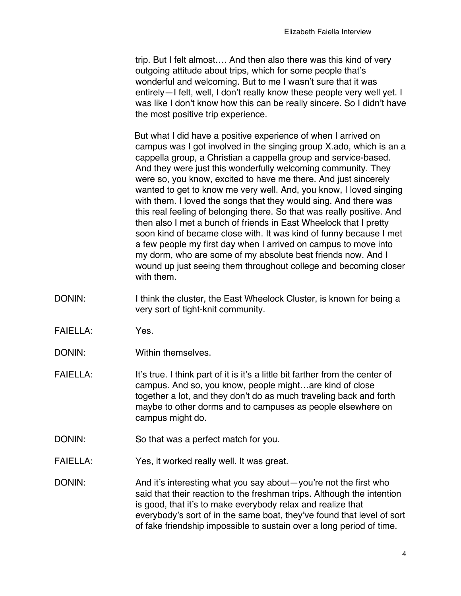trip. But I felt almost…. And then also there was this kind of very outgoing attitude about trips, which for some people that's wonderful and welcoming. But to me I wasn't sure that it was entirely—I felt, well, I don't really know these people very well yet. I was like I don't know how this can be really sincere. So I didn't have the most positive trip experience.

 But what I did have a positive experience of when I arrived on campus was I got involved in the singing group X.ado, which is an a cappella group, a Christian a cappella group and service-based. And they were just this wonderfully welcoming community. They were so, you know, excited to have me there. And just sincerely wanted to get to know me very well. And, you know, I loved singing with them. I loved the songs that they would sing. And there was this real feeling of belonging there. So that was really positive. And then also I met a bunch of friends in East Wheelock that I pretty soon kind of became close with. It was kind of funny because I met a few people my first day when I arrived on campus to move into my dorm, who are some of my absolute best friends now. And I wound up just seeing them throughout college and becoming closer with them.

- DONIN: I think the cluster, the East Wheelock Cluster, is known for being a very sort of tight-knit community.
- FAIELLA: Yes.
- DONIN: Within themselves.
- FAIELLA: It's true. I think part of it is it's a little bit farther from the center of campus. And so, you know, people might…are kind of close together a lot, and they don't do as much traveling back and forth maybe to other dorms and to campuses as people elsewhere on campus might do.
- DONIN: So that was a perfect match for you.
- FAIELLA: Yes, it worked really well. It was great.
- DONIN: And it's interesting what you say about—you're not the first who said that their reaction to the freshman trips. Although the intention is good, that it's to make everybody relax and realize that everybody's sort of in the same boat, they've found that level of sort of fake friendship impossible to sustain over a long period of time.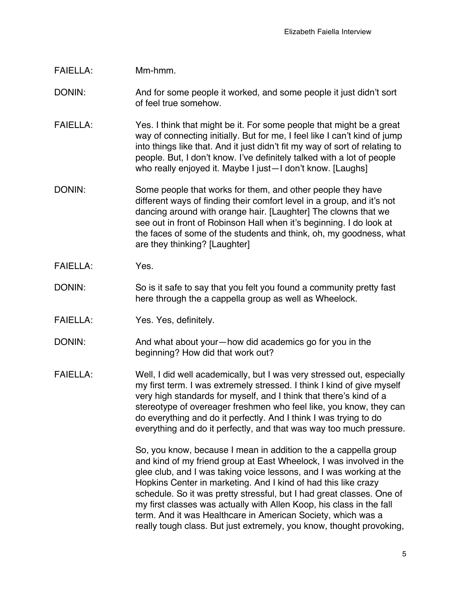## FAIELLA: Mm-hmm.

## DONIN: And for some people it worked, and some people it just didn't sort of feel true somehow.

- FAIELLA: Yes. I think that might be it. For some people that might be a great way of connecting initially. But for me, I feel like I can't kind of jump into things like that. And it just didn't fit my way of sort of relating to people. But, I don't know. I've definitely talked with a lot of people who really enjoyed it. Maybe I just—I don't know. [Laughs]
- DONIN: Some people that works for them, and other people they have different ways of finding their comfort level in a group, and it's not dancing around with orange hair. [Laughter] The clowns that we see out in front of Robinson Hall when it's beginning. I do look at the faces of some of the students and think, oh, my goodness, what are they thinking? [Laughter]
- FAIELLA: Yes.
- DONIN: So is it safe to say that you felt you found a community pretty fast here through the a cappella group as well as Wheelock.
- FAIELLA: Yes. Yes, definitely.
- DONIN: And what about your—how did academics go for you in the beginning? How did that work out?
- FAIELLA: Well, I did well academically, but I was very stressed out, especially my first term. I was extremely stressed. I think I kind of give myself very high standards for myself, and I think that there's kind of a stereotype of overeager freshmen who feel like, you know, they can do everything and do it perfectly. And I think I was trying to do everything and do it perfectly, and that was way too much pressure.

So, you know, because I mean in addition to the a cappella group and kind of my friend group at East Wheelock, I was involved in the glee club, and I was taking voice lessons, and I was working at the Hopkins Center in marketing. And I kind of had this like crazy schedule. So it was pretty stressful, but I had great classes. One of my first classes was actually with Allen Koop, his class in the fall term. And it was Healthcare in American Society, which was a really tough class. But just extremely, you know, thought provoking,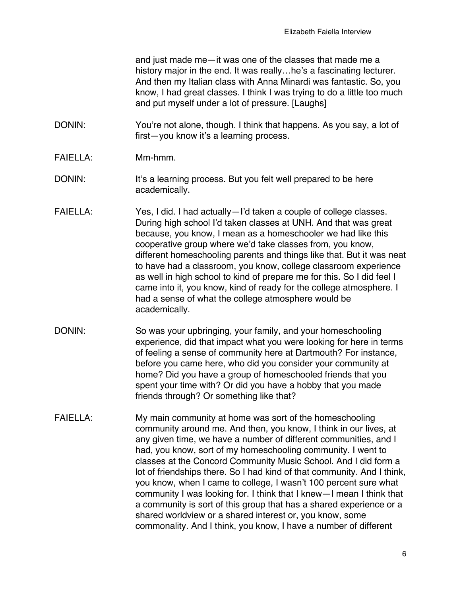and just made me—it was one of the classes that made me a history major in the end. It was really...he's a fascinating lecturer. And then my Italian class with Anna Minardi was fantastic. So, you know, I had great classes. I think I was trying to do a little too much and put myself under a lot of pressure. [Laughs]

- DONIN: You're not alone, though. I think that happens. As you say, a lot of first—you know it's a learning process.
- FAIELLA: Mm-hmm.
- DONIN: It's a learning process. But you felt well prepared to be here academically.
- FAIELLA: Yes, I did. I had actually—I'd taken a couple of college classes. During high school I'd taken classes at UNH. And that was great because, you know, I mean as a homeschooler we had like this cooperative group where we'd take classes from, you know, different homeschooling parents and things like that. But it was neat to have had a classroom, you know, college classroom experience as well in high school to kind of prepare me for this. So I did feel I came into it, you know, kind of ready for the college atmosphere. I had a sense of what the college atmosphere would be academically.
- DONIN: So was your upbringing, your family, and your homeschooling experience, did that impact what you were looking for here in terms of feeling a sense of community here at Dartmouth? For instance, before you came here, who did you consider your community at home? Did you have a group of homeschooled friends that you spent your time with? Or did you have a hobby that you made friends through? Or something like that?
- FAIELLA: My main community at home was sort of the homeschooling community around me. And then, you know, I think in our lives, at any given time, we have a number of different communities, and I had, you know, sort of my homeschooling community. I went to classes at the Concord Community Music School. And I did form a lot of friendships there. So I had kind of that community. And I think, you know, when I came to college, I wasn't 100 percent sure what community I was looking for. I think that I knew—I mean I think that a community is sort of this group that has a shared experience or a shared worldview or a shared interest or, you know, some commonality. And I think, you know, I have a number of different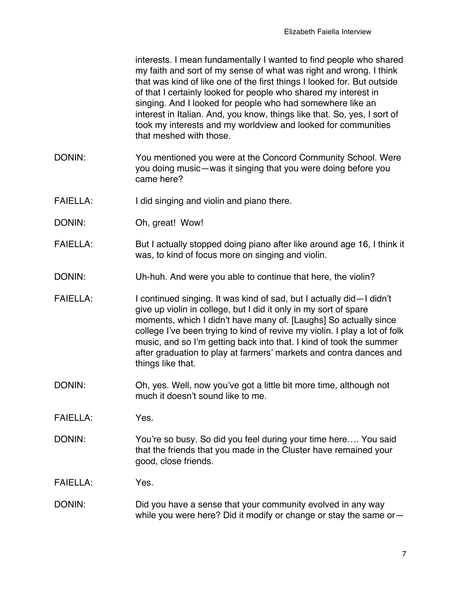interests. I mean fundamentally I wanted to find people who shared my faith and sort of my sense of what was right and wrong. I think that was kind of like one of the first things I looked for. But outside of that I certainly looked for people who shared my interest in singing. And I looked for people who had somewhere like an interest in Italian. And, you know, things like that. So, yes, I sort of took my interests and my worldview and looked for communities that meshed with those.

- DONIN: You mentioned you were at the Concord Community School. Were you doing music—was it singing that you were doing before you came here?
- FAIELLA: I did singing and violin and piano there.
- DONIN: Oh, great! Wow!
- FAIELLA: But I actually stopped doing piano after like around age 16, I think it was, to kind of focus more on singing and violin.
- DONIN: Uh-huh. And were you able to continue that here, the violin?
- FAIELLA: I continued singing. It was kind of sad, but I actually did—I didn't give up violin in college, but I did it only in my sort of spare moments, which I didn't have many of. [Laughs] So actually since college I've been trying to kind of revive my violin. I play a lot of folk music, and so I'm getting back into that. I kind of took the summer after graduation to play at farmers' markets and contra dances and things like that.
- DONIN: Oh, yes. Well, now you've got a little bit more time, although not much it doesn't sound like to me.
- FAIELLA: Yes.
- DONIN: You're so busy. So did you feel during your time here.... You said that the friends that you made in the Cluster have remained your good, close friends.
- FAIELLA: Yes.
- DONIN: DONIN: Did you have a sense that your community evolved in any way while you were here? Did it modify or change or stay the same or—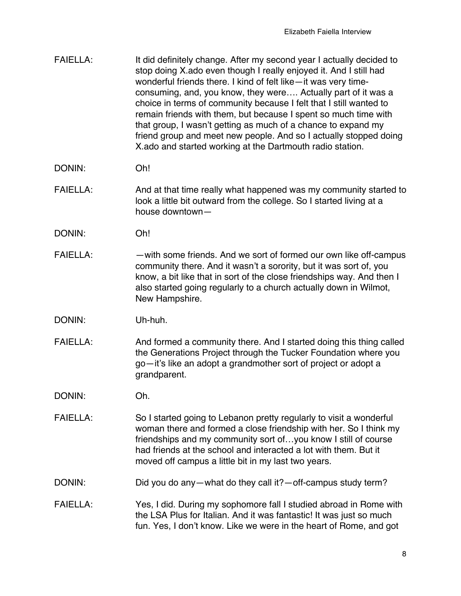| <b>FAIELLA:</b> | It did definitely change. After my second year I actually decided to<br>stop doing X ado even though I really enjoyed it. And I still had<br>wonderful friends there. I kind of felt like-it was very time- |
|-----------------|-------------------------------------------------------------------------------------------------------------------------------------------------------------------------------------------------------------|
|                 | consuming, and, you know, they were Actually part of it was a<br>choice in terms of community because I felt that I still wanted to<br>remain friends with them, but because I spent so much time with      |
|                 | that group, I wasn't getting as much of a chance to expand my<br>friend group and meet new people. And so I actually stopped doing<br>X ado and started working at the Dartmouth radio station.             |

- DONIN: Oh!
- FAIELLA: And at that time really what happened was my community started to look a little bit outward from the college. So I started living at a house downtown—
- DONIN: Oh!
- FAIELLA: — with some friends. And we sort of formed our own like off-campus community there. And it wasn't a sorority, but it was sort of, you know, a bit like that in sort of the close friendships way. And then I also started going regularly to a church actually down in Wilmot, New Hampshire.
- DONIN: Uh-huh.
- FAIELLA: And formed a community there. And I started doing this thing called the Generations Project through the Tucker Foundation where you go—it's like an adopt a grandmother sort of project or adopt a grandparent.
- DONIN: Oh.
- FAIELLA: So I started going to Lebanon pretty regularly to visit a wonderful woman there and formed a close friendship with her. So I think my friendships and my community sort of…you know I still of course had friends at the school and interacted a lot with them. But it moved off campus a little bit in my last two years.
- DONIN: DONIN: Did you do any—what do they call it?—off-campus study term?
- FAIELLA: Yes, I did. During my sophomore fall I studied abroad in Rome with the LSA Plus for Italian. And it was fantastic! It was just so much fun. Yes, I don't know. Like we were in the heart of Rome, and got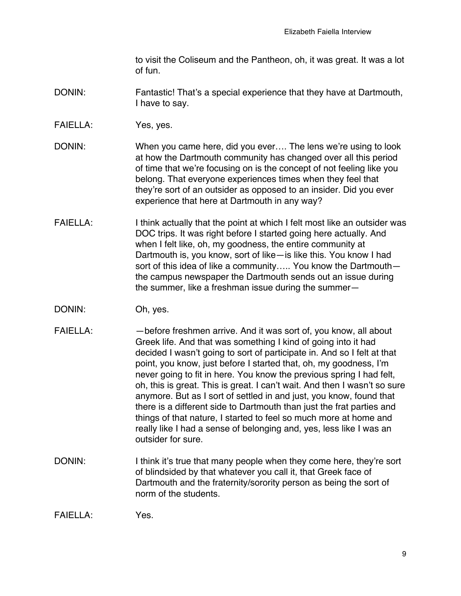to visit the Coliseum and the Pantheon, oh, it was great. It was a lot of fun.

## DONIN: Fantastic! That's a special experience that they have at Dartmouth, I have to say.

FAIELLA: Yes, yes.

DONIN: When you came here, did you ever…. The lens we're using to look at how the Dartmouth community has changed over all this period of time that we're focusing on is the concept of not feeling like you belong. That everyone experiences times when they feel that they're sort of an outsider as opposed to an insider. Did you ever experience that here at Dartmouth in any way?

- FAIELLA: I think actually that the point at which I felt most like an outsider was DOC trips. It was right before I started going here actually. And when I felt like, oh, my goodness, the entire community at Dartmouth is, you know, sort of like—is like this. You know I had sort of this idea of like a community….. You know the Dartmouth the campus newspaper the Dartmouth sends out an issue during the summer, like a freshman issue during the summer—
- DONIN: Oh, yes.
- FAIELLA: before freshmen arrive. And it was sort of, you know, all about Greek life. And that was something I kind of going into it had decided I wasn't going to sort of participate in. And so I felt at that point, you know, just before I started that, oh, my goodness, I'm never going to fit in here. You know the previous spring I had felt, oh, this is great. This is great. I can't wait. And then I wasn't so sure anymore. But as I sort of settled in and just, you know, found that there is a different side to Dartmouth than just the frat parties and things of that nature, I started to feel so much more at home and really like I had a sense of belonging and, yes, less like I was an outsider for sure.
- DONIN: I think it's true that many people when they come here, they're sort of blindsided by that whatever you call it, that Greek face of Dartmouth and the fraternity/sorority person as being the sort of norm of the students.

FAIELLA: Yes.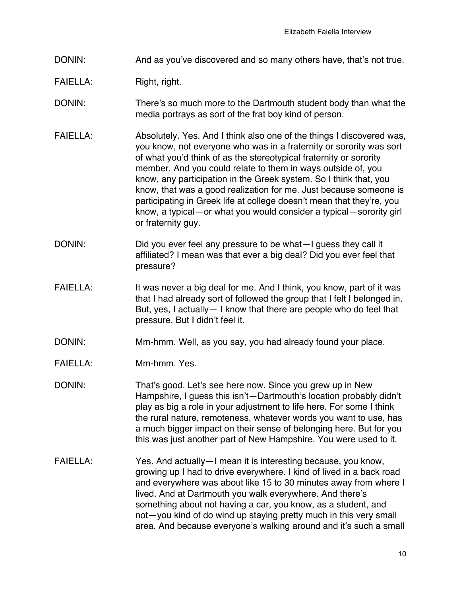- DONIN: And as you've discovered and so many others have, that's not true.
- FAIELLA: Right, right.
- DONIN: There's so much more to the Dartmouth student body than what the media portrays as sort of the frat boy kind of person.
- FAIELLA: Absolutely. Yes. And I think also one of the things I discovered was, you know, not everyone who was in a fraternity or sorority was sort of what you'd think of as the stereotypical fraternity or sorority member. And you could relate to them in ways outside of, you know, any participation in the Greek system. So I think that, you know, that was a good realization for me. Just because someone is participating in Greek life at college doesn't mean that they're, you know, a typical—or what you would consider a typical—sorority girl or fraternity guy.
- DONIN: DONIN: Did you ever feel any pressure to be what-I guess they call it affiliated? I mean was that ever a big deal? Did you ever feel that pressure?
- FAIELLA: It was never a big deal for me. And I think, you know, part of it was that I had already sort of followed the group that I felt I belonged in. But, yes, I actually— I know that there are people who do feel that pressure. But I didn't feel it.
- DONIN: Mm-hmm. Well, as you say, you had already found your place.
- FAIELLA: Mm-hmm. Yes.
- DONIN: That's good. Let's see here now. Since you grew up in New Hampshire, I guess this isn't—Dartmouth's location probably didn't play as big a role in your adjustment to life here. For some I think the rural nature, remoteness, whatever words you want to use, has a much bigger impact on their sense of belonging here. But for you this was just another part of New Hampshire. You were used to it.
- FAIELLA: Yes. And actually—I mean it is interesting because, you know, growing up I had to drive everywhere. I kind of lived in a back road and everywhere was about like 15 to 30 minutes away from where I lived. And at Dartmouth you walk everywhere. And there's something about not having a car, you know, as a student, and not—you kind of do wind up staying pretty much in this very small area. And because everyone's walking around and it's such a small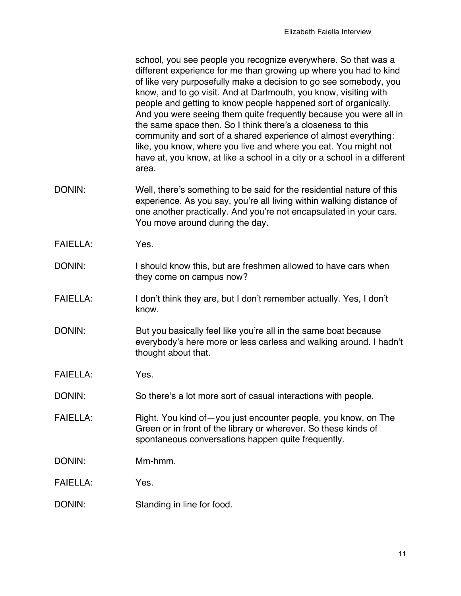school, you see people you recognize everywhere. So that was a different experience for me than growing up where you had to kind of like very purposefully make a decision to go see somebody, you know, and to go visit. And at Dartmouth, you know, visiting with people and getting to know people happened sort of organically. And you were seeing them quite frequently because you were all in the same space then. So I think there's a closeness to this community and sort of a shared experience of almost everything: like, you know, where you live and where you eat. You might not have at, you know, at like a school in a city or a school in a different area.

- DONIN: Well, there's something to be said for the residential nature of this experience. As you say, you're all living within walking distance of one another practically. And you're not encapsulated in your cars. You move around during the day.
- FAIELLA: Yes.
- DONIN: I should know this, but are freshmen allowed to have cars when they come on campus now?
- FAIELLA: I don't think they are, but I don't remember actually. Yes, I don't know.
- DONIN: But you basically feel like you're all in the same boat because everybody's here more or less carless and walking around. I hadn't thought about that.
- FAIELLA: Yes.
- DONIN: So there's a lot more sort of casual interactions with people.
- FAIELLA: Right. You kind of you just encounter people, you know, on The Green or in front of the library or wherever. So these kinds of spontaneous conversations happen quite frequently.
- DONIN: Mm-hmm.
- FAIELLA: Yes.
- DONIN: Standing in line for food.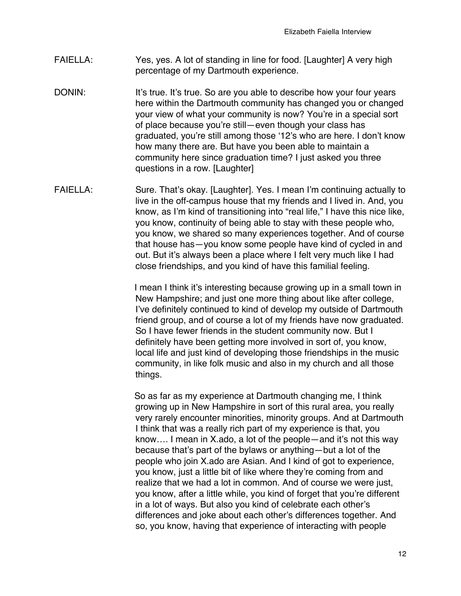- FAIELLA: Yes, yes. A lot of standing in line for food. [Laughter] A very high percentage of my Dartmouth experience.
- DONIN: It's true. It's true. So are you able to describe how your four years here within the Dartmouth community has changed you or changed your view of what your community is now? You're in a special sort of place because you're still—even though your class has graduated, you're still among those ʻ12's who are here. I don't know how many there are. But have you been able to maintain a community here since graduation time? I just asked you three questions in a row. [Laughter]
- FAIELLA: Sure. That's okay. [Laughter]. Yes. I mean I'm continuing actually to live in the off-campus house that my friends and I lived in. And, you know, as I'm kind of transitioning into "real life," I have this nice like, you know, continuity of being able to stay with these people who, you know, we shared so many experiences together. And of course that house has—you know some people have kind of cycled in and out. But it's always been a place where I felt very much like I had close friendships, and you kind of have this familial feeling.

 I mean I think it's interesting because growing up in a small town in New Hampshire; and just one more thing about like after college, I've definitely continued to kind of develop my outside of Dartmouth friend group, and of course a lot of my friends have now graduated. So I have fewer friends in the student community now. But I definitely have been getting more involved in sort of, you know, local life and just kind of developing those friendships in the music community, in like folk music and also in my church and all those things.

 So as far as my experience at Dartmouth changing me, I think growing up in New Hampshire in sort of this rural area, you really very rarely encounter minorities, minority groups. And at Dartmouth I think that was a really rich part of my experience is that, you know…. I mean in X.ado, a lot of the people—and it's not this way because that's part of the bylaws or anything—but a lot of the people who join X.ado are Asian. And I kind of got to experience, you know, just a little bit of like where they're coming from and realize that we had a lot in common. And of course we were just, you know, after a little while, you kind of forget that you're different in a lot of ways. But also you kind of celebrate each other's differences and joke about each other's differences together. And so, you know, having that experience of interacting with people